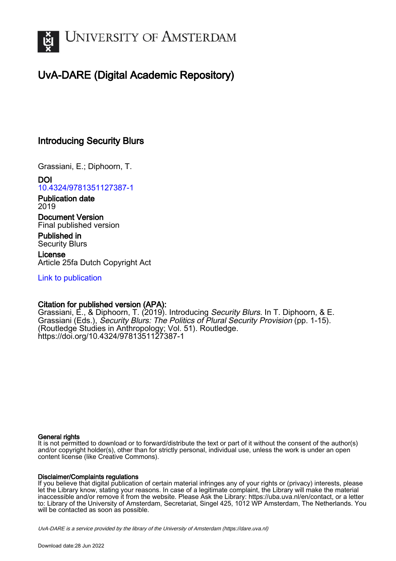

## UvA-DARE (Digital Academic Repository)

### Introducing Security Blurs

Grassiani, E.; Diphoorn, T.

DOI [10.4324/9781351127387-1](https://doi.org/10.4324/9781351127387-1)

Publication date 2019

Document Version Final published version

Published in Security Blurs

License Article 25fa Dutch Copyright Act

[Link to publication](https://dare.uva.nl/personal/pure/en/publications/introducing-security-blurs(66918ffa-a9fe-45b5-ba53-0e90b5ef1658).html)

### Citation for published version (APA):

Grassiani, E., & Diphoorn, T. (2019). Introducing Security Blurs. In T. Diphoorn, & E. Grassiani (Eds.), Security Blurs: The Politics of Plural Security Provision (pp. 1-15). (Routledge Studies in Anthropology; Vol. 51). Routledge. <https://doi.org/10.4324/9781351127387-1>

#### General rights

It is not permitted to download or to forward/distribute the text or part of it without the consent of the author(s) and/or copyright holder(s), other than for strictly personal, individual use, unless the work is under an open content license (like Creative Commons).

#### Disclaimer/Complaints regulations

If you believe that digital publication of certain material infringes any of your rights or (privacy) interests, please let the Library know, stating your reasons. In case of a legitimate complaint, the Library will make the material inaccessible and/or remove it from the website. Please Ask the Library: https://uba.uva.nl/en/contact, or a letter to: Library of the University of Amsterdam, Secretariat, Singel 425, 1012 WP Amsterdam, The Netherlands. You will be contacted as soon as possible.

UvA-DARE is a service provided by the library of the University of Amsterdam (http*s*://dare.uva.nl)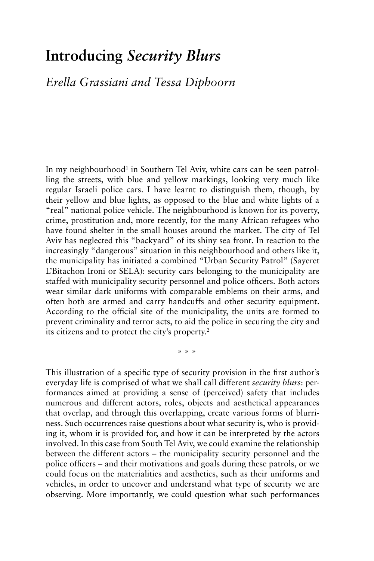# **Introducing** *Security Blurs*

*Erella Grassiani and Tessa Diphoorn* 

In my neighbourhood<sup>1</sup> in Southern Tel Aviv, white cars can be seen patrolling the streets, with blue and yellow markings, looking very much like regular Israeli police cars. I have learnt to distinguish them, though, by their yellow and blue lights, as opposed to the blue and white lights of a "real" national police vehicle. The neighbourhood is known for its poverty, crime, prostitution and, more recently, for the many African refugees who have found shelter in the small houses around the market. The city of Tel Aviv has neglected this "backyard" of its shiny sea front. In reaction to the increasingly "dangerous" situation in this neighbourhood and others like it, the municipality has initiated a combined "Urban Security Patrol" (Sayeret L'Bitachon Ironi or SELA): security cars belonging to the municipality are staffed with municipality security personnel and police officers. Both actors wear similar dark uniforms with comparable emblems on their arms, and often both are armed and carry handcuffs and other security equipment. According to the official site of the municipality, the units are formed to prevent criminality and terror acts, to aid the police in securing the city and its citizens and to protect the city's property. 2

This illustration of a specific type of security provision in the first author's everyday life is comprised of what we shall call different *security blurs*: performances aimed at providing a sense of (perceived) safety that includes numerous and different actors, roles, objects and aesthetical appearances that overlap, and through this overlapping, create various forms of blurriness. Such occurrences raise questions about what security is, who is providing it, whom it is provided for, and how it can be interpreted by the actors involved. In this case from South Tel Aviv, we could examine the relationship between the different actors – the municipality security personnel and the police officers – and their motivations and goals during these patrols, or we could focus on the materialities and aesthetics, such as their uniforms and vehicles, in order to uncover and understand what type of security we are observing. More importantly, we could question what such performances

\* \* \*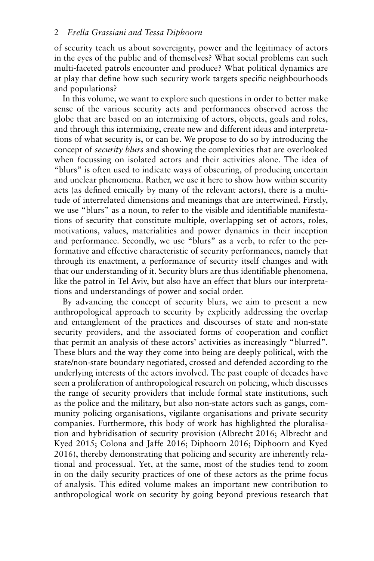of security teach us about sovereignty, power and the legitimacy of actors in the eyes of the public and of themselves? What social problems can such multi-faceted patrols encounter and produce? What political dynamics are at play that define how such security work targets specific neighbourhoods and populations?

In this volume, we want to explore such questions in order to better make sense of the various security acts and performances observed across the globe that are based on an intermixing of actors, objects, goals and roles, and through this intermixing, create new and different ideas and interpretations of what security is, or can be. We propose to do so by introducing the concept of *security blurs* and showing the complexities that are overlooked when focussing on isolated actors and their activities alone. The idea of "blurs" is often used to indicate ways of obscuring, of producing uncertain and unclear phenomena. Rather, we use it here to show how within security acts (as defined emically by many of the relevant actors), there is a multitude of interrelated dimensions and meanings that are intertwined. Firstly, we use "blurs" as a noun, to refer to the visible and identifiable manifestations of security that constitute multiple, overlapping set of actors, roles, motivations, values, materialities and power dynamics in their inception and performance. Secondly, we use "blurs" as a verb, to refer to the performative and effective characteristic of security performances, namely that through its enactment, a performance of security itself changes and with that our understanding of it. Security blurs are thus identifiable phenomena, like the patrol in Tel Aviv, but also have an effect that blurs our interpretations and understandings of power and social order.

By advancing the concept of security blurs, we aim to present a new anthropological approach to security by explicitly addressing the overlap and entanglement of the practices and discourses of state and non-state security providers, and the associated forms of cooperation and conflict that permit an analysis of these actors' activities as increasingly "blurred". These blurs and the way they come into being are deeply political, with the state/non-state boundary negotiated, crossed and defended according to the underlying interests of the actors involved. The past couple of decades have seen a proliferation of anthropological research on policing, which discusses the range of security providers that include formal state institutions, such as the police and the military, but also non-state actors such as gangs, community policing organisations, vigilante organisations and private security companies. Furthermore, this body of work has highlighted the pluralisation and hybridisation of security provision (Albrecht 2016; Albrecht and Kyed 2015; Colona and Jaffe 2016; Diphoorn 2016; Diphoorn and Kyed 2016), thereby demonstrating that policing and security are inherently relational and processual. Yet, at the same, most of the studies tend to zoom in on the daily security practices of one of these actors as the prime focus of analysis. This edited volume makes an important new contribution to anthropological work on security by going beyond previous research that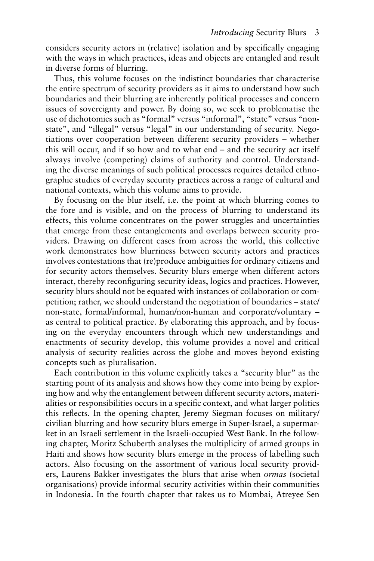considers security actors in (relative) isolation and by specifically engaging with the ways in which practices, ideas and objects are entangled and result in diverse forms of blurring.

Thus, this volume focuses on the indistinct boundaries that characterise the entire spectrum of security providers as it aims to understand how such boundaries and their blurring are inherently political processes and concern issues of sovereignty and power. By doing so, we seek to problematise the use of dichotomies such as "formal" versus "informal", "state" versus "nonstate", and "illegal" versus "legal" in our understanding of security. Negotiations over cooperation between different security providers – whether this will occur, and if so how and to what end – and the security act itself always involve (competing) claims of authority and control. Understanding the diverse meanings of such political processes requires detailed ethnographic studies of everyday security practices across a range of cultural and national contexts, which this volume aims to provide.

By focusing on the blur itself, i.e. the point at which blurring comes to the fore and is visible, and on the process of blurring to understand its effects, this volume concentrates on the power struggles and uncertainties that emerge from these entanglements and overlaps between security providers. Drawing on different cases from across the world, this collective work demonstrates how blurriness between security actors and practices involves contestations that (re)produce ambiguities for ordinary citizens and for security actors themselves. Security blurs emerge when different actors interact, thereby reconfiguring security ideas, logics and practices. However, security blurs should not be equated with instances of collaboration or competition; rather, we should understand the negotiation of boundaries – state/ non-state, formal/informal, human/non-human and corporate/voluntary – as central to political practice. By elaborating this approach, and by focusing on the everyday encounters through which new understandings and enactments of security develop, this volume provides a novel and critical analysis of security realities across the globe and moves beyond existing concepts such as pluralisation.

Each contribution in this volume explicitly takes a "security blur" as the starting point of its analysis and shows how they come into being by exploring how and why the entanglement between different security actors, materialities or responsibilities occurs in a specific context, and what larger politics this reflects. In the opening chapter, Jeremy Siegman focuses on military/ civilian blurring and how security blurs emerge in Super-Israel, a supermarket in an Israeli settlement in the Israeli-occupied West Bank. In the following chapter, Moritz Schuberth analyses the multiplicity of armed groups in Haiti and shows how security blurs emerge in the process of labelling such actors. Also focusing on the assortment of various local security providers, Laurens Bakker investigates the blurs that arise when *ormas* (societal organisations) provide informal security activities within their communities in Indonesia. In the fourth chapter that takes us to Mumbai, Atreyee Sen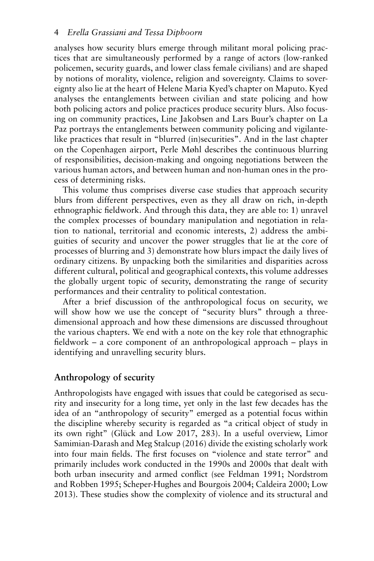analyses how security blurs emerge through militant moral policing practices that are simultaneously performed by a range of actors (low-ranked policemen, security guards, and lower class female civilians) and are shaped by notions of morality, violence, religion and sovereignty. Claims to sovereignty also lie at the heart of Helene Maria Kyed's chapter on Maputo. Kyed analyses the entanglements between civilian and state policing and how both policing actors and police practices produce security blurs. Also focusing on community practices, Line Jakobsen and Lars Buur's chapter on La Paz portrays the entanglements between community policing and vigilantelike practices that result in "blurred (in)securities". And in the last chapter on the Copenhagen airport, Perle Møhl describes the continuous blurring of responsibilities, decision-making and ongoing negotiations between the various human actors, and between human and non-human ones in the process of determining risks.

This volume thus comprises diverse case studies that approach security blurs from different perspectives, even as they all draw on rich, in-depth ethnographic fieldwork. And through this data, they are able to: 1) unravel the complex processes of boundary manipulation and negotiation in relation to national, territorial and economic interests, 2) address the ambiguities of security and uncover the power struggles that lie at the core of processes of blurring and 3) demonstrate how blurs impact the daily lives of ordinary citizens. By unpacking both the similarities and disparities across different cultural, political and geographical contexts, this volume addresses the globally urgent topic of security, demonstrating the range of security performances and their centrality to political contestation.

After a brief discussion of the anthropological focus on security, we will show how we use the concept of "security blurs" through a threedimensional approach and how these dimensions are discussed throughout the various chapters. We end with a note on the key role that ethnographic fieldwork – a core component of an anthropological approach – plays in identifying and unravelling security blurs.

#### **Anthropology of security**

Anthropologists have engaged with issues that could be categorised as security and insecurity for a long time, yet only in the last few decades has the idea of an "anthropology of security" emerged as a potential focus within the discipline whereby security is regarded as "a critical object of study in its own right" (Glück and Low 2017, 283). In a useful overview, Limor Samimian-Darash and Meg Stalcup (2016) divide the existing scholarly work into four main fields. The first focuses on "violence and state terror" and primarily includes work conducted in the 1990s and 2000s that dealt with both urban insecurity and armed conflict (see Feldman 1991; Nordstrom and Robben 1995; Scheper-Hughes and Bourgois 2004; Caldeira 2000; Low 2013). These studies show the complexity of violence and its structural and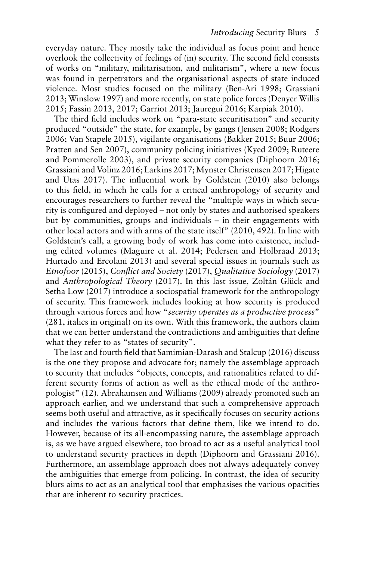everyday nature. They mostly take the individual as focus point and hence overlook the collectivity of feelings of (in) security. The second field consists of works on "military, militarisation, and militarism", where a new focus was found in perpetrators and the organisational aspects of state induced violence. Most studies focused on the military (Ben-Ari 1998; Grassiani 2013; Winslow 1997) and more recently, on state police forces (Denyer Willis 2015; Fassin 2013, 2017; Garriot 2013; Jauregui 2016; Karpiak 2010).

The third field includes work on "para-state securitisation" and security produced "outside" the state, for example, by gangs (Jensen 2008; Rodgers 2006; Van Stapele 2015), vigilante organisations (Bakker 2015; Buur 2006; Pratten and Sen 2007), community policing initiatives (Kyed 2009; Ruteere and Pommerolle 2003), and private security companies (Diphoorn 2016; Grassiani and Volinz 2016 ; Larkins 2017 ; Mynster Christensen 2017 ; Higate and Utas 2017). The influential work by Goldstein (2010) also belongs to this field, in which he calls for a critical anthropology of security and encourages researchers to further reveal the "multiple ways in which security is configured and deployed – not only by states and authorised speakers but by communities, groups and individuals – in their engagements with other local actors and with arms of the state itself" ( 2010 , 492). In line with Goldstein's call, a growing body of work has come into existence, including edited volumes (Maguire et al. 2014; Pedersen and Holbraad 2013; Hurtado and Ercolani 2013) and several special issues in journals such as *Etnofoor* (2015), *Conflict and Society* (2017), *Qualitative Sociology* (2017) and *Anthropological Theory* (2017). In this last issue, Zoltán Glück and Setha Low (2017) introduce a sociospatial framework for the anthropology of security. This framework includes looking at how security is produced through various forces and how " *security operates as a productive process* " (281, italics in original) on its own. With this framework, the authors claim that we can better understand the contradictions and ambiguities that define what they refer to as "states of security".

The last and fourth field that Samimian-Darash and Stalcup (2016) discuss is the one they propose and advocate for; namely the assemblage approach to security that includes "objects, concepts, and rationalities related to different security forms of action as well as the ethical mode of the anthropologist" (12). Abrahamsen and Williams (2009) already promoted such an approach earlier, and we understand that such a comprehensive approach seems both useful and attractive, as it specifically focuses on security actions and includes the various factors that define them, like we intend to do. However, because of its all-encompassing nature, the assemblage approach is, as we have argued elsewhere, too broad to act as a useful analytical tool to understand security practices in depth (Diphoorn and Grassiani 2016). Furthermore, an assemblage approach does not always adequately convey the ambiguities that emerge from policing. In contrast, the idea of security blurs aims to act as an analytical tool that emphasises the various opacities that are inherent to security practices.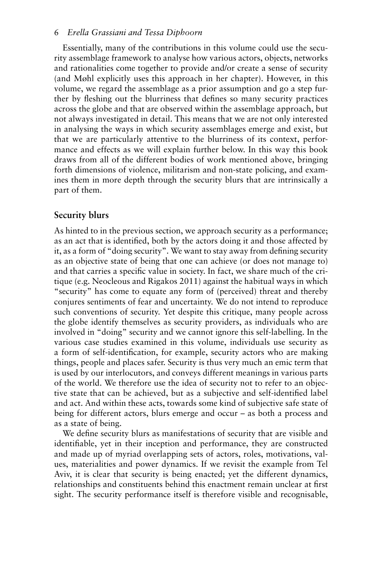#### 6 *Erella Grassiani and Tessa Diphoorn*

Essentially, many of the contributions in this volume could use the security assemblage framework to analyse how various actors, objects, networks and rationalities come together to provide and/or create a sense of security (and Møhl explicitly uses this approach in her chapter). However, in this volume, we regard the assemblage as a prior assumption and go a step further by fleshing out the blurriness that defines so many security practices across the globe and that are observed within the assemblage approach, but not always investigated in detail. This means that we are not only interested in analysing the ways in which security assemblages emerge and exist, but that we are particularly attentive to the blurriness of its context, performance and effects as we will explain further below. In this way this book draws from all of the different bodies of work mentioned above, bringing forth dimensions of violence, militarism and non-state policing, and examines them in more depth through the security blurs that are intrinsically a part of them.

#### **Security blurs**

As hinted to in the previous section, we approach security as a performance; as an act that is identified, both by the actors doing it and those affected by it, as a form of "doing security". We want to stay away from defining security as an objective state of being that one can achieve (or does not manage to) and that carries a specific value in society. In fact, we share much of the critique (e.g. Neocleous and Rigakos 2011 ) against the habitual ways in which "security" has come to equate any form of (perceived) threat and thereby conjures sentiments of fear and uncertainty. We do not intend to reproduce such conventions of security. Yet despite this critique, many people across the globe identify themselves as security providers, as individuals who are involved in "doing" security and we cannot ignore this self-labelling. In the various case studies examined in this volume, individuals use security as a form of self-identification, for example, security actors who are making things, people and places safer. Security is thus very much an emic term that is used by our interlocutors, and conveys different meanings in various parts of the world. We therefore use the idea of security not to refer to an objective state that can be achieved, but as a subjective and self-identified label and act. And within these acts, towards some kind of subjective safe state of being for different actors, blurs emerge and occur – as both a process and as a state of being.

We define security blurs as manifestations of security that are visible and identifiable, yet in their inception and performance, they are constructed and made up of myriad overlapping sets of actors, roles, motivations, values, materialities and power dynamics. If we revisit the example from Tel Aviv, it is clear that security is being enacted; yet the different dynamics, relationships and constituents behind this enactment remain unclear at first sight. The security performance itself is therefore visible and recognisable,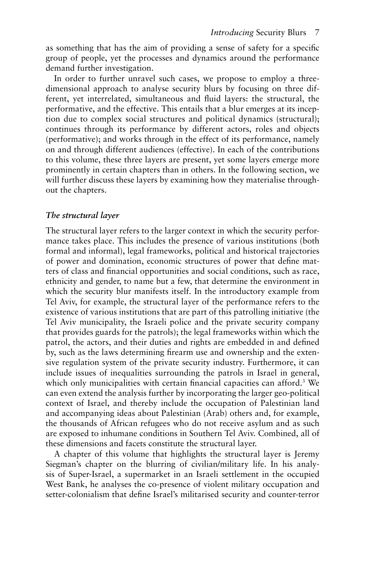as something that has the aim of providing a sense of safety for a specific group of people, yet the processes and dynamics around the performance demand further investigation.

In order to further unravel such cases, we propose to employ a threedimensional approach to analyse security blurs by focusing on three different, yet interrelated, simultaneous and fluid layers: the structural, the performative, and the effective. This entails that a blur emerges at its inception due to complex social structures and political dynamics (structural); continues through its performance by different actors, roles and objects (performative); and works through in the effect of its performance, namely on and through different audiences (effective). In each of the contributions to this volume, these three layers are present, yet some layers emerge more prominently in certain chapters than in others. In the following section, we will further discuss these layers by examining how they materialise throughout the chapters.

#### *The structural layer*

The structural layer refers to the larger context in which the security performance takes place. This includes the presence of various institutions (both formal and informal), legal frameworks, political and historical trajectories of power and domination, economic structures of power that define matters of class and financial opportunities and social conditions, such as race, ethnicity and gender, to name but a few, that determine the environment in which the security blur manifests itself. In the introductory example from Tel Aviv, for example, the structural layer of the performance refers to the existence of various institutions that are part of this patrolling initiative (the Tel Aviv municipality, the Israeli police and the private security company that provides guards for the patrols); the legal frameworks within which the patrol, the actors, and their duties and rights are embedded in and defined by, such as the laws determining firearm use and ownership and the extensive regulation system of the private security industry. Furthermore, it can include issues of inequalities surrounding the patrols in Israel in general, which only municipalities with certain financial capacities can afford.<sup>3</sup> We can even extend the analysis further by incorporating the larger geo-political context of Israel, and thereby include the occupation of Palestinian land and accompanying ideas about Palestinian (Arab) others and, for example, the thousands of African refugees who do not receive asylum and as such are exposed to inhumane conditions in Southern Tel Aviv. Combined, all of these dimensions and facets constitute the structural layer.

A chapter of this volume that highlights the structural layer is Jeremy Siegman's chapter on the blurring of civilian/military life. In his analysis of Super-Israel, a supermarket in an Israeli settlement in the occupied West Bank, he analyses the co-presence of violent military occupation and setter-colonialism that define Israel's militarised security and counter-terror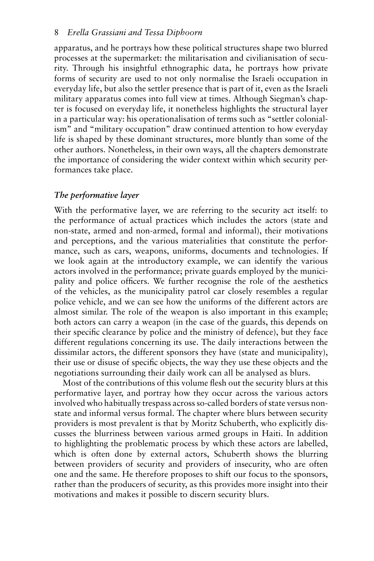apparatus, and he portrays how these political structures shape two blurred processes at the supermarket: the militarisation and civilianisation of security. Through his insightful ethnographic data, he portrays how private forms of security are used to not only normalise the Israeli occupation in everyday life, but also the settler presence that is part of it, even as the Israeli military apparatus comes into full view at times. Although Siegman's chapter is focused on everyday life, it nonetheless highlights the structural layer in a particular way: his operationalisation of terms such as "settler colonialism" and "military occupation" draw continued attention to how everyday life is shaped by these dominant structures, more bluntly than some of the other authors. Nonetheless, in their own ways, all the chapters demonstrate the importance of considering the wider context within which security performances take place.

#### *The performative layer*

With the performative layer, we are referring to the security act itself: to the performance of actual practices which includes the actors (state and non-state, armed and non-armed, formal and informal), their motivations and perceptions, and the various materialities that constitute the performance, such as cars, weapons, uniforms, documents and technologies. If we look again at the introductory example, we can identify the various actors involved in the performance; private guards employed by the municipality and police officers. We further recognise the role of the aesthetics of the vehicles, as the municipality patrol car closely resembles a regular police vehicle, and we can see how the uniforms of the different actors are almost similar. The role of the weapon is also important in this example; both actors can carry a weapon (in the case of the guards, this depends on their specific clearance by police and the ministry of defence), but they face different regulations concerning its use. The daily interactions between the dissimilar actors, the different sponsors they have (state and municipality), their use or disuse of specific objects, the way they use these objects and the negotiations surrounding their daily work can all be analysed as blurs.

Most of the contributions of this volume flesh out the security blurs at this performative layer, and portray how they occur across the various actors involved who habitually trespass across so-called borders of state versus nonstate and informal versus formal. The chapter where blurs between security providers is most prevalent is that by Moritz Schuberth, who explicitly discusses the blurriness between various armed groups in Haiti. In addition to highlighting the problematic process by which these actors are labelled, which is often done by external actors, Schuberth shows the blurring between providers of security and providers of insecurity, who are often one and the same. He therefore proposes to shift our focus to the sponsors, rather than the producers of security, as this provides more insight into their motivations and makes it possible to discern security blurs.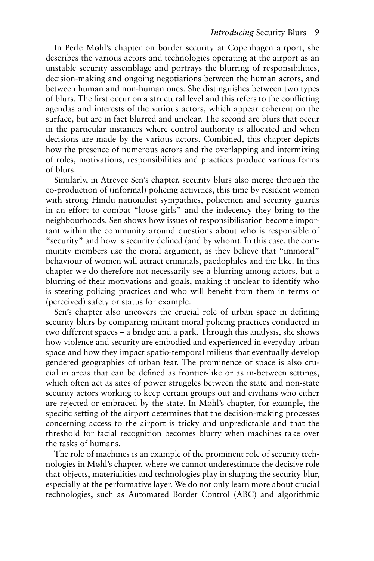In Perle Møhl's chapter on border security at Copenhagen airport, she describes the various actors and technologies operating at the airport as an unstable security assemblage and portrays the blurring of responsibilities, decision-making and ongoing negotiations between the human actors, and between human and non-human ones. She distinguishes between two types of blurs. The first occur on a structural level and this refers to the conflicting agendas and interests of the various actors, which appear coherent on the surface, but are in fact blurred and unclear. The second are blurs that occur in the particular instances where control authority is allocated and when decisions are made by the various actors. Combined, this chapter depicts how the presence of numerous actors and the overlapping and intermixing of roles, motivations, responsibilities and practices produce various forms of blurs.

Similarly, in Atreyee Sen's chapter, security blurs also merge through the co-production of (informal) policing activities, this time by resident women with strong Hindu nationalist sympathies, policemen and security guards in an effort to combat "loose girls" and the indecency they bring to the neighbourhoods. Sen shows how issues of responsibilisation become important within the community around questions about who is responsible of "security" and how is security defined (and by whom). In this case, the community members use the moral argument, as they believe that "immoral" behaviour of women will attract criminals, paedophiles and the like. In this chapter we do therefore not necessarily see a blurring among actors, but a blurring of their motivations and goals, making it unclear to identify who is steering policing practices and who will benefit from them in terms of (perceived) safety or status for example.

Sen's chapter also uncovers the crucial role of urban space in defining security blurs by comparing militant moral policing practices conducted in two different spaces – a bridge and a park. Through this analysis, she shows how violence and security are embodied and experienced in everyday urban space and how they impact spatio-temporal milieus that eventually develop gendered geographies of urban fear. The prominence of space is also crucial in areas that can be defined as frontier-like or as in-between settings, which often act as sites of power struggles between the state and non-state security actors working to keep certain groups out and civilians who either are rejected or embraced by the state. In Møhl's chapter, for example, the specific setting of the airport determines that the decision-making processes concerning access to the airport is tricky and unpredictable and that the threshold for facial recognition becomes blurry when machines take over the tasks of humans.

The role of machines is an example of the prominent role of security technologies in Møhl's chapter, where we cannot underestimate the decisive role that objects, materialities and technologies play in shaping the security blur, especially at the performative layer. We do not only learn more about crucial technologies, such as Automated Border Control (ABC) and algorithmic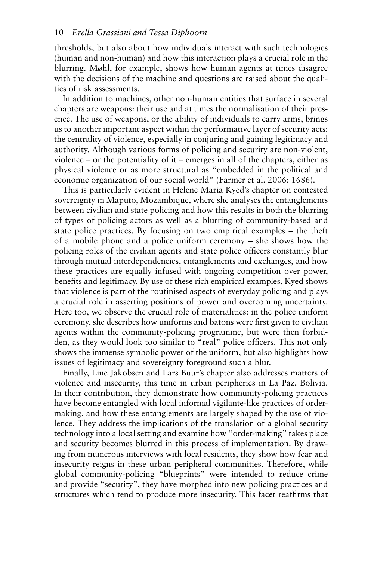thresholds, but also about how individuals interact with such technologies (human and non-human) and how this interaction plays a crucial role in the blurring. Møhl, for example, shows how human agents at times disagree with the decisions of the machine and questions are raised about the qualities of risk assessments.

In addition to machines, other non-human entities that surface in several chapters are weapons: their use and at times the normalisation of their presence. The use of weapons, or the ability of individuals to carry arms, brings us to another important aspect within the performative layer of security acts: the centrality of violence, especially in conjuring and gaining legitimacy and authority. Although various forms of policing and security are non-violent, violence – or the potentiality of it – emerges in all of the chapters, either as physical violence or as more structural as "embedded in the political and economic organization of our social world" (Farmer et al. 2006: 1686).

This is particularly evident in Helene Maria Kyed's chapter on contested sovereignty in Maputo, Mozambique, where she analyses the entanglements between civilian and state policing and how this results in both the blurring of types of policing actors as well as a blurring of community-based and state police practices. By focusing on two empirical examples – the theft of a mobile phone and a police uniform ceremony – she shows how the policing roles of the civilian agents and state police officers constantly blur through mutual interdependencies, entanglements and exchanges, and how these practices are equally infused with ongoing competition over power, benefits and legitimacy. By use of these rich empirical examples, Kyed shows that violence is part of the routinised aspects of everyday policing and plays a crucial role in asserting positions of power and overcoming uncertainty. Here too, we observe the crucial role of materialities: in the police uniform ceremony, she describes how uniforms and batons were first given to civilian agents within the community-policing programme, but were then forbidden, as they would look too similar to "real" police officers. This not only shows the immense symbolic power of the uniform, but also highlights how issues of legitimacy and sovereignty foreground such a blur.

Finally, Line Jakobsen and Lars Buur's chapter also addresses matters of violence and insecurity, this time in urban peripheries in La Paz, Bolivia. In their contribution, they demonstrate how community-policing practices have become entangled with local informal vigilante-like practices of ordermaking, and how these entanglements are largely shaped by the use of violence. They address the implications of the translation of a global security technology into a local setting and examine how "order-making" takes place and security becomes blurred in this process of implementation. By drawing from numerous interviews with local residents, they show how fear and insecurity reigns in these urban peripheral communities. Therefore, while global community-policing "blueprints" were intended to reduce crime and provide "security", they have morphed into new policing practices and structures which tend to produce more insecurity. This facet reaffirms that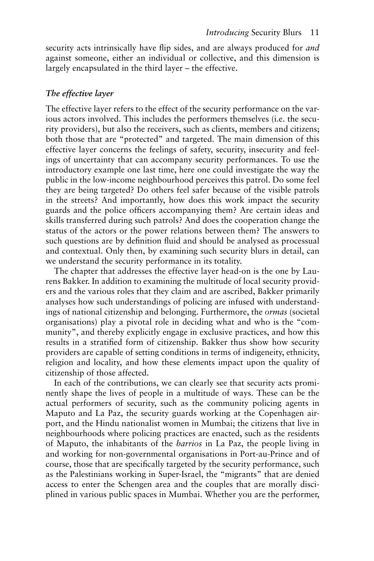security acts intrinsically have flip sides, and are always produced for *and* against someone, either an individual or collective, and this dimension is largely encapsulated in the third layer – the effective.

#### *The effective layer*

The effective layer refers to the effect of the security performance on the various actors involved. This includes the performers themselves (i.e. the security providers), but also the receivers, such as clients, members and citizens; both those that are "protected" and targeted. The main dimension of this effective layer concerns the feelings of safety, security, insecurity and feelings of uncertainty that can accompany security performances. To use the introductory example one last time, here one could investigate the way the public in the low-income neighbourhood perceives this patrol. Do some feel they are being targeted? Do others feel safer because of the visible patrols in the streets? And importantly, how does this work impact the security guards and the police officers accompanying them? Are certain ideas and skills transferred during such patrols? And does the cooperation change the status of the actors or the power relations between them? The answers to such questions are by definition fluid and should be analysed as processual and contextual. Only then, by examining such security blurs in detail, can we understand the security performance in its totality.

The chapter that addresses the effective layer head-on is the one by Laurens Bakker. In addition to examining the multitude of local security providers and the various roles that they claim and are ascribed, Bakker primarily analyses how such understandings of policing are infused with understandings of national citizenship and belonging. Furthermore, the *ormas* (societal organisations) play a pivotal role in deciding what and who is the "community", and thereby explicitly engage in exclusive practices, and how this results in a stratified form of citizenship. Bakker thus show how security providers are capable of setting conditions in terms of indigeneity, ethnicity, religion and locality, and how these elements impact upon the quality of citizenship of those affected.

In each of the contributions, we can clearly see that security acts prominently shape the lives of people in a multitude of ways. These can be the actual performers of security, such as the community policing agents in Maputo and La Paz, the security guards working at the Copenhagen airport, and the Hindu nationalist women in Mumbai; the citizens that live in neighbourhoods where policing practices are enacted, such as the residents of Maputo, the inhabitants of the *barrios* in La Paz, the people living in and working for non-governmental organisations in Port-au-Prince and of course, those that are specifically targeted by the security performance, such as the Palestinians working in Super-Israel, the "migrants" that are denied access to enter the Schengen area and the couples that are morally disciplined in various public spaces in Mumbai. Whether you are the performer,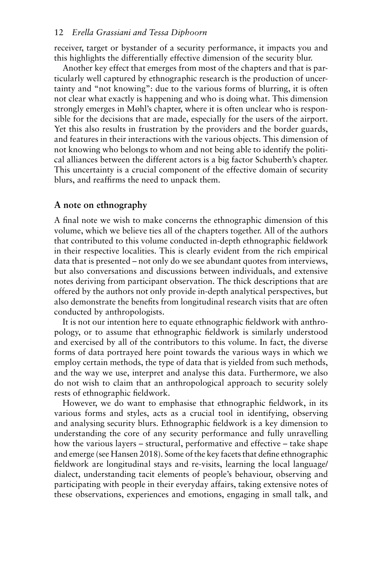receiver, target or bystander of a security performance, it impacts you and this highlights the differentially effective dimension of the security blur.

Another key effect that emerges from most of the chapters and that is particularly well captured by ethnographic research is the production of uncertainty and "not knowing": due to the various forms of blurring, it is often not clear what exactly is happening and who is doing what. This dimension strongly emerges in Møhl's chapter, where it is often unclear who is responsible for the decisions that are made, especially for the users of the airport. Yet this also results in frustration by the providers and the border guards, and features in their interactions with the various objects. This dimension of not knowing who belongs to whom and not being able to identify the political alliances between the different actors is a big factor Schuberth's chapter. This uncertainty is a crucial component of the effective domain of security blurs, and reaffirms the need to unpack them.

#### **A note on ethnography**

A final note we wish to make concerns the ethnographic dimension of this volume, which we believe ties all of the chapters together. All of the authors that contributed to this volume conducted in-depth ethnographic fieldwork in their respective localities. This is clearly evident from the rich empirical data that is presented – not only do we see abundant quotes from interviews, but also conversations and discussions between individuals, and extensive notes deriving from participant observation. The thick descriptions that are offered by the authors not only provide in-depth analytical perspectives, but also demonstrate the benefits from longitudinal research visits that are often conducted by anthropologists.

It is not our intention here to equate ethnographic fieldwork with anthropology, or to assume that ethnographic fieldwork is similarly understood and exercised by all of the contributors to this volume. In fact, the diverse forms of data portrayed here point towards the various ways in which we employ certain methods, the type of data that is yielded from such methods, and the way we use, interpret and analyse this data. Furthermore, we also do not wish to claim that an anthropological approach to security solely rests of ethnographic fieldwork.

However, we do want to emphasise that ethnographic fieldwork, in its various forms and styles, acts as a crucial tool in identifying, observing and analysing security blurs. Ethnographic fieldwork is a key dimension to understanding the core of any security performance and fully unravelling how the various layers – structural, performative and effective – take shape and emerge (see Hansen 2018). Some of the key facets that define ethnographic fieldwork are longitudinal stays and re-visits, learning the local language/ dialect, understanding tacit elements of people's behaviour, observing and participating with people in their everyday affairs, taking extensive notes of these observations, experiences and emotions, engaging in small talk, and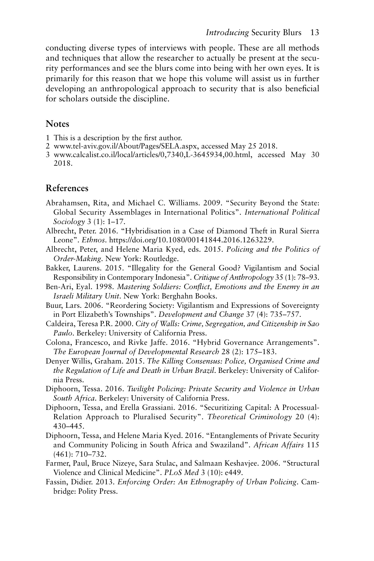conducting diverse types of interviews with people. These are all methods and techniques that allow the researcher to actually be present at the security performances and see the blurs come into being with her own eyes. It is primarily for this reason that we hope this volume will assist us in further developing an anthropological approach to security that is also beneficial for scholars outside the discipline.

#### **Notes**

- 1 This is a description by the first author.
- 2 [www.tel-aviv.gov.il/About/Pages/SELA.aspx,](http://www.tel-aviv.gov.il) accessed May 25 2018.
- 3[www.calcalist.co.il/local/articles/0,7340,L-3645934,00.html,](http://www.calcalist.co.il) accessed May 30 2018.

#### **References**

- Abrahamsen, Rita, and Michael C. Williams. 2009. "Security Beyond the State: Global Security Assemblages in International Politics". *International Political Sociology* 3 (1): 1–17.
- Albrecht, Peter. 2016. "Hybridisation in a Case of Diamond Theft in Rural Sierra Leone". *Ethnos* . [https://doi.org/10.1080/00141844.2016.1263229 .](https://doi.org)
- Albrecht, Peter, and Helene Maria Kyed, eds. 2015. *Policing and the Politics of*  Order-Making. New York: Routledge.
- Bakker, Laurens. 2015. "Illegality for the General Good? Vigilantism and Social Responsibility in Contemporary Indonesia". *Critique of Anthropology* 35 (1): 78–93.
- Ben-Ari, Eyal. 1998. *Mastering Soldiers: Conflict, Emotions and the Enemy in an Israeli Military Unit* . New York: Berghahn Books.
- Buur, Lars. 2006. "Reordering Society: Vigilantism and Expressions of Sovereignty in Port Elizabeth's Townships". *Development and Change* 37 (4): 735–757.
- Caldeira, Teresa P.R. 2000. *City of Walls: Crime, Segregation, and Citizenship in Sao*  Paulo. Berkeley: University of California Press.
- Colona, Francesco, and Rivke Jaffe. 2016. "Hybrid Governance Arrangements". *The European Journal of Developmental Research* 28 (2): 175–183.
- Denyer Willis, Graham. 2015. *The Killing Consensus: Police, Organised Crime and the Regulation of Life and Death in Urban Brazil*. Berkeley: University of California Press.
- Diphoorn, Tessa. 2016. *Twilight Policing: Private Security and Violence in Urban South Africa* . Berkeley: University of California Press.
- Diphoorn, Tessa, and Erella Grassiani. 2016. "Securitizing Capital: A Processual-Relation Approach to Pluralised Security". *Theoretical Criminology* 20 (4): 430–445.
- Diphoorn, Tessa, and Helene Maria Kyed. 2016. "Entanglements of Private Security and Community Policing in South Africa and Swaziland". *African Affairs* 115 (461): 710–732.
- Farmer, Paul, Bruce Nizeye, Sara Stulac, and Salmaan Keshavjee. 2006. "Structural Violence and Clinical Medicine". *PLoS Med* 3 (10): e449.
- Fassin, Didier. 2013. *Enforcing Order: An Ethnography of Urban Policing*. Cambridge: Polity Press.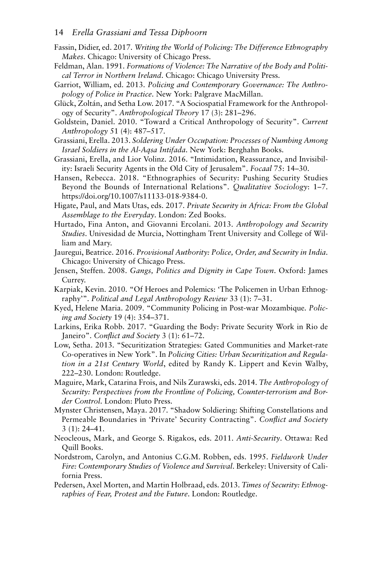#### 14 *Erella Grassiani and Tessa Diphoorn*

- Fassin, Didier, ed. 2017. *Writing the World of Policing: The Difference Ethnography Makes* . Chicago: University of Chicago Press.
- Feldman, Alan. 1991. *Formations of Violence: The Narrative of the Body and Political Terror in Northern Ireland*. Chicago: Chicago University Press.
- Garriot, William, ed. 2013. *Policing and Contemporary Governance: The Anthropology of Police in Practice* . New York: Palgrave MacMillan.
- Glück, Zoltán, and Setha Low. 2017. "A Sociospatial Framework for the Anthropology of Security". *Anthropological Theory* 17 (3): 281–296.
- Goldstein, Daniel. 2010. "Toward a Critical Anthropology of Security". *Current Anthropology* 51 (4): 487–517.
- Grassiani, Erella. 2013. *Soldering Under Occupation: Processes of Numbing Among Israel Soldiers in the Al-Aqsa Intifada* . New York: Berghahn Books.
- Grassiani, Erella, and Lior Volinz. 2016. "Intimidation, Reassurance, and Invisibility: Israeli Security Agents in the Old City of Jerusalem". *Focaal* 75: 14–30.
- Hansen, Rebecca. 2018. "Ethnographies of Security: Pushing Security Studies Beyond the Bounds of International Relations". *Qualitative Sociology*: 1–7. https://doi.org/10.1007/s11133-018-9384-0.
- Higate, Paul, and Mats Utas, eds. 2017. *Private Security in Africa: From the Global Assemblage to the Everyday* . London: Zed Books.
- Hurtado, Fina Anton, and Giovanni Ercolani. 2013. *Anthropology and Security Studies*. Univesidad de Murcia, Nottingham Trent University and College of William and Mary.
- Jauregui, Beatrice. 2016. *Provisional Authority: Police, Order, and Security in India* . Chicago: University of Chicago Press.
- Jensen, Steffen. 2008. *Gangs, Politics and Dignity in Cape Town*. Oxford: James Currey.
- Karpiak, Kevin. 2010. "Of Heroes and Polemics: 'The Policemen in Urban Ethnography'". *Political and Legal Anthropology Review* 33 (1): 7–31.
- Kyed, Helene Maria. 2009. "Community Policing in Post-war Mozambique *. Policing and Society* 19 (4): 354–371.
- Larkins, Erika Robb. 2017. "Guarding the Body: Private Security Work in Rio de Janeiro". *Conflict and Society* 3 (1): 61–72.
- Low, Setha. 2013. "Securitization Strategies: Gated Communities and Market-rate Co-operatives in New York". In *Policing Cities: Urban Securitization and Regulation in a 21st Century World*, edited by Randy K. Lippert and Kevin Walby, 222–230. London: Routledge.
- Maguire, Mark, Catarina Frois, and Nils Zurawski, eds. 2014. *The Anthropology of Security: Perspectives from the Frontline of Policing, Counter-terrorism and Bor*der Control. London: Pluto Press.
- Mynster Christensen, Maya. 2017. "Shadow Soldiering: Shifting Constellations and Permeable Boundaries in 'Private' Security Contracting". Conflict and Society 3 (1): 24–41.
- Neocleous, Mark, and George S. Rigakos, eds. 2011. *Anti-Security*. Ottawa: Red Quill Books.
- Nordstrom, Carolyn, and Antonius C.G.M. Robben, eds. 1995. *Fieldwork Under Fire: Contemporary Studies of Violence and Survival*. Berkeley: University of California Press.
- Pedersen, Axel Morten, and Martin Holbraad, eds. 2013. *Times of Security: Ethnographies of Fear, Protest and the Future*. London: Routledge.